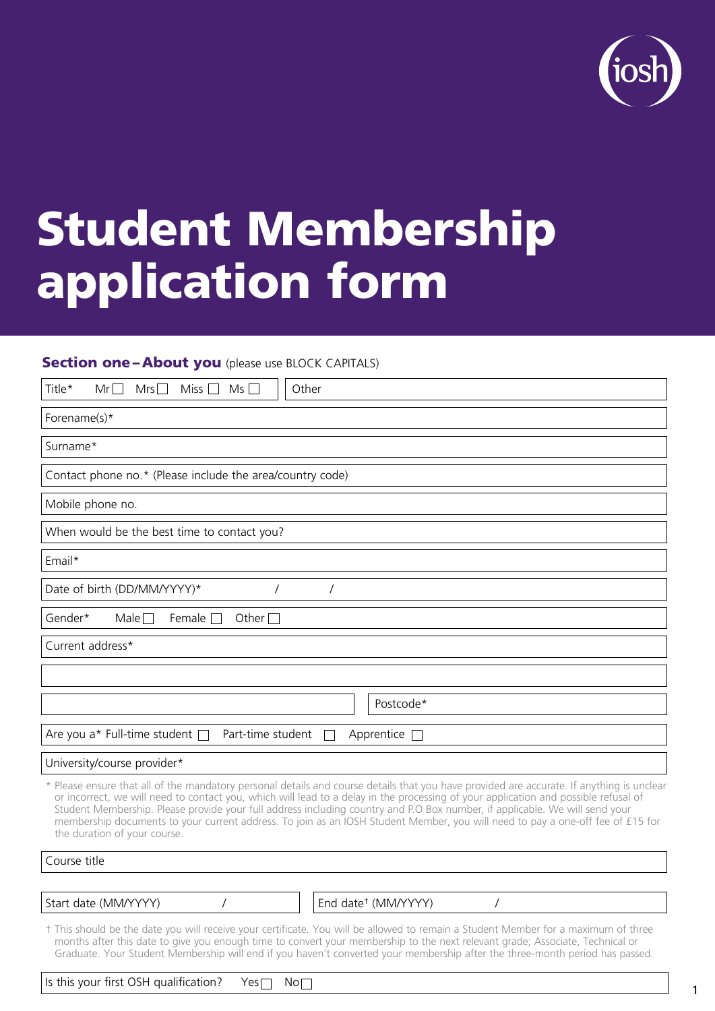

# Student Membership application form

#### **Section one – About you** (please use BLOCK CAPITALS)

| Title*<br>Other<br>$Mr\Box$<br>Mrs<br>Miss  <br>$Ms \Box$                                                                                                                                                                                                                                                                                                                                                                                                                                                                                                                         |
|-----------------------------------------------------------------------------------------------------------------------------------------------------------------------------------------------------------------------------------------------------------------------------------------------------------------------------------------------------------------------------------------------------------------------------------------------------------------------------------------------------------------------------------------------------------------------------------|
| Forename(s)*                                                                                                                                                                                                                                                                                                                                                                                                                                                                                                                                                                      |
| Surname*                                                                                                                                                                                                                                                                                                                                                                                                                                                                                                                                                                          |
| Contact phone no.* (Please include the area/country code)                                                                                                                                                                                                                                                                                                                                                                                                                                                                                                                         |
| Mobile phone no.                                                                                                                                                                                                                                                                                                                                                                                                                                                                                                                                                                  |
| When would be the best time to contact you?                                                                                                                                                                                                                                                                                                                                                                                                                                                                                                                                       |
| Email*                                                                                                                                                                                                                                                                                                                                                                                                                                                                                                                                                                            |
| Date of birth (DD/MM/YYYY)*<br>$\prime$                                                                                                                                                                                                                                                                                                                                                                                                                                                                                                                                           |
| Female $\Box$<br>Gender*<br>Male $\Box$<br>Other $\Box$                                                                                                                                                                                                                                                                                                                                                                                                                                                                                                                           |
| Current address*                                                                                                                                                                                                                                                                                                                                                                                                                                                                                                                                                                  |
|                                                                                                                                                                                                                                                                                                                                                                                                                                                                                                                                                                                   |
| Postcode*                                                                                                                                                                                                                                                                                                                                                                                                                                                                                                                                                                         |
| Are you a* Full-time student $\Box$<br>Part-time student<br>Apprentice                                                                                                                                                                                                                                                                                                                                                                                                                                                                                                            |
| University/course provider*                                                                                                                                                                                                                                                                                                                                                                                                                                                                                                                                                       |
| * Please ensure that all of the mandatory personal details and course details that you have provided are accurate. If anything is unclear<br>or incorrect, we will need to contact you, which will lead to a delay in the processing of your application and possible refusal of<br>Student Membership. Please provide your full address including country and P.O Box number, if applicable. We will send your<br>membership documents to your current address. To join as an IOSH Student Member, you will need to pay a one-off fee of £15 for<br>the duration of your course. |
| Course title                                                                                                                                                                                                                                                                                                                                                                                                                                                                                                                                                                      |

Start date (MM/YYYY) / / End date<sup>†</sup> (MM/YYYY) / /

† This should be the date you will receive your certificate. You will be allowed to remain a Student Member for a maximum of three months after this date to give you enough time to convert your membership to the next relevant grade; Associate, Technical or Graduate. Your Student Membership will end if you haven't converted your membership after the three-month period has passed.

| Is this your first OSH qualification? | $Yes \Box$ | $\mathsf{No}\Box$ |  |
|---------------------------------------|------------|-------------------|--|
|---------------------------------------|------------|-------------------|--|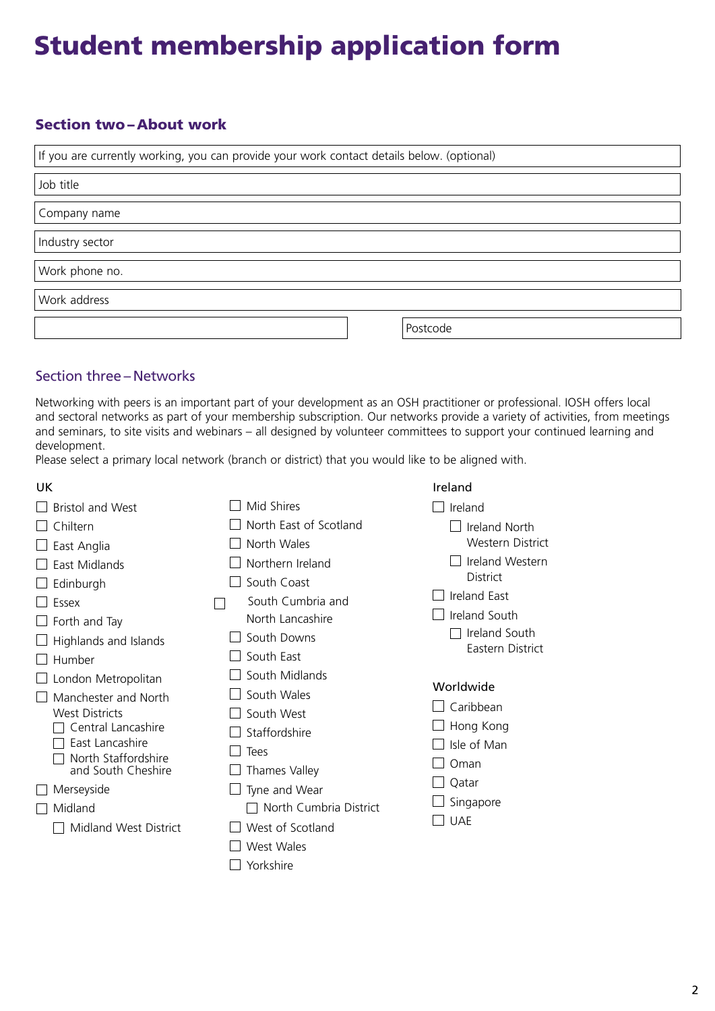# Student membership application form

# Section two – About work

| If you are currently working, you can provide your work contact details below. (optional) |  |  |  |
|-------------------------------------------------------------------------------------------|--|--|--|
| Job title                                                                                 |  |  |  |
| Company name                                                                              |  |  |  |
| Industry sector                                                                           |  |  |  |
| Work phone no.                                                                            |  |  |  |
| Work address                                                                              |  |  |  |
| Postcode                                                                                  |  |  |  |

## Section three – Networks

Networking with peers is an important part of your development as an OSH practitioner or professional. IOSH offers local and sectoral networks as part of your membership subscription. Our networks provide a variety of activities, from meetings and seminars, to site visits and webinars – all designed by volunteer committees to support your continued learning and development.

Please select a primary local network (branch or district) that you would like to be aligned with.

| UK.                                         |                        | Ireland                           |
|---------------------------------------------|------------------------|-----------------------------------|
| <b>Bristol and West</b>                     | Mid Shires             | Ireland                           |
| Chiltern                                    | North East of Scotland | Ireland North                     |
| East Anglia                                 | North Wales            | <b>Western District</b>           |
| East Midlands                               | Northern Ireland       | Ireland Western                   |
| Edinburgh                                   | South Coast            | <b>District</b>                   |
| Essex                                       | South Cumbria and      | <b>Ireland East</b>               |
| Forth and Tay                               | North Lancashire       | Ireland South                     |
| Highlands and Islands                       | South Downs            | Ireland South<br>Eastern District |
| Humber                                      | South East             |                                   |
| London Metropolitan                         | South Midlands         | Worldwide                         |
| Manchester and North                        | South Wales            | Caribbean                         |
| <b>West Districts</b><br>Central Lancashire | South West             | Hong Kong                         |
| East Lancashire                             | Staffordshire          | Isle of Man                       |
| North Staffordshire                         | Tees                   | Oman                              |
| and South Cheshire                          | Thames Valley          | Qatar                             |
| Merseyside                                  | Tyne and Wear          | Singapore                         |
| Midland                                     | North Cumbria District | <b>UAE</b>                        |
| <b>Midland West District</b>                | West of Scotland       |                                   |
|                                             | West Wales             |                                   |
|                                             | Yorkshire              |                                   |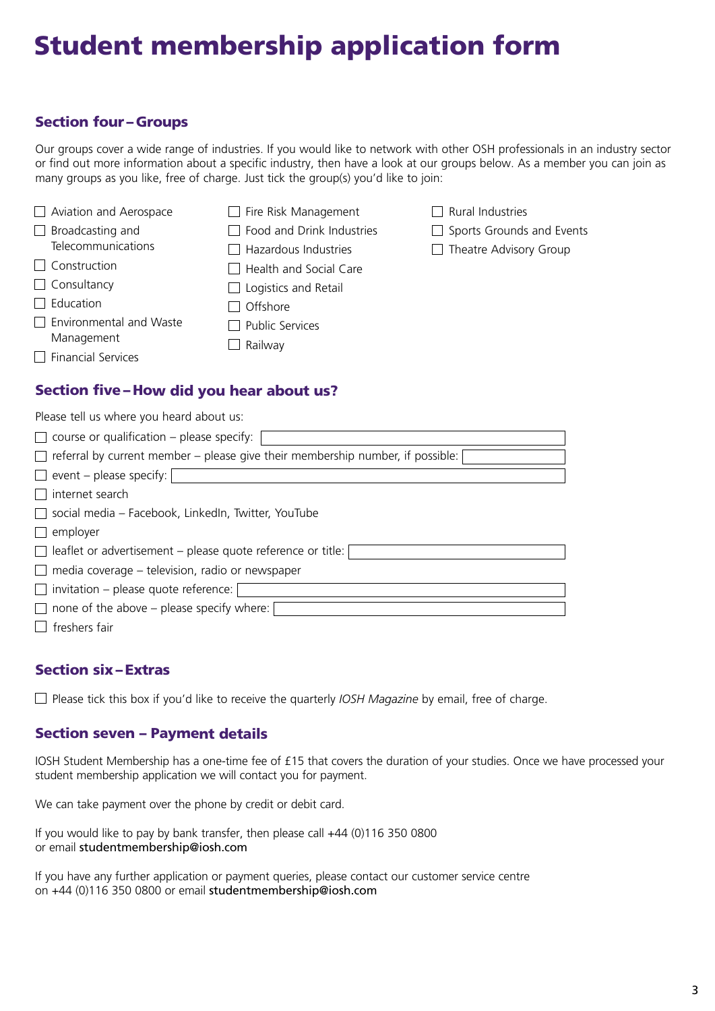# Student membership application form

## Section four – Groups

Our groups cover a wide range of industries. If you would like to network with other OSH professionals in an industry sector or find out more information about a specific industry, then have a look at our groups below. As a member you can join as many groups as you like, free of charge. Just tick the group(s) you'd like to join:

| $\Box$ Aviation and Aerospace  | Fire Risk Management      | Rural Industries                            |
|--------------------------------|---------------------------|---------------------------------------------|
| $\Box$ Broadcasting and        | Food and Drink Industries | $\Box$ Sports Grounds and Events            |
| Telecommunications             | Hazardous Industries      | Theatre Advisory Group<br>$\vert \ \ \vert$ |
| $\Box$ Construction            | Health and Social Care    |                                             |
| $\Box$ Consultancy             | Logistics and Retail      |                                             |
| $\Box$ Education               | Offshore                  |                                             |
| $\Box$ Environmental and Waste | <b>Public Services</b>    |                                             |
| Management                     | Railway                   |                                             |
| $\Box$ Financial Services      |                           |                                             |

## Section five – How did you hear about us?

| Please tell us where you heard about us:                                              |
|---------------------------------------------------------------------------------------|
| $\Box$ course or qualification – please specify:                                      |
| $\Box$ referral by current member – please give their membership number, if possible: |
| $\Box$ event – please specify:                                                        |
| internet search<br>$\mathbf{1}$                                                       |
| $\Box$ social media - Facebook, LinkedIn, Twitter, YouTube                            |
| employer<br>$\vert \ \ \vert$                                                         |
| $\Box$ leaflet or advertisement – please quote reference or title:                    |
| $\Box$ media coverage – television, radio or newspaper                                |
| $\Box$ invitation – please quote reference:                                           |
| none of the above – please specify where:<br>$\mathbf{1}$                             |
| freshers fair                                                                         |

#### Section six – Extras

□ Please tick this box if you'd like to receive the quarterly *IOSH Magazine* by email, free of charge.

#### Section seven – Payment details

IOSH Student Membership has a one-time fee of £15 that covers the duration of your studies. Once we have processed your student membership application we will contact you for payment.

We can take payment over the phone by credit or debit card.

If you would like to pay by bank transfer, then please call +44 (0)116 350 0800 or email studentmembership@iosh.com

If you have any further application or payment queries, please contact our customer service centre on +44 (0)116 350 0800 or email studentmembership@iosh.com